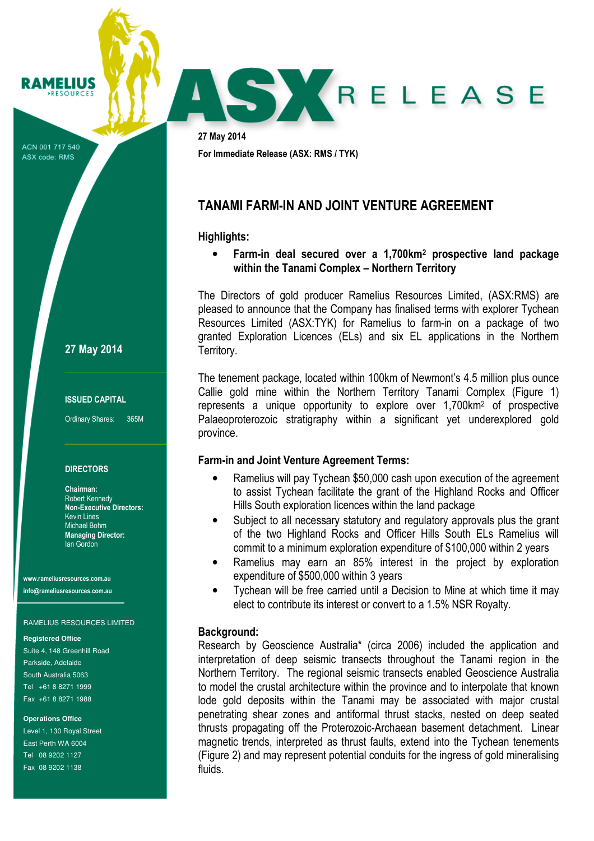ACN 001 717 540 ASX code: RMS

RAMELIUS **RESOURCES** 

27 May 2014

## ISSUED CAPITAL

Ordinary Shares: 365M

#### **DIRECTORS**

Chairman: Robert Kennedy Non-Executive Directors: Kevin Lines Michael Bohm Managing Director: Ian Gordon

www.rameliusresources.com.au info@rameliusresources.com.au

#### RAMELIUS RESOURCES LIMITED

#### **Registered Office**

Suite 4, 148 Greenhill Road Parkside, Adelaide South Australia 5063 Tel +61 8 8271 1999 Fax +61 8 8271 1988

#### **Operations Office**

Level 1, 130 Royal Street East Perth WA 6004 Tel 08 9202 1127 Fax 08 9202 1138

27 May 2014 For Immediate Release (ASX: RMS / TYK)

## TANAMI FARM-IN AND JOINT VENTURE AGREEMENT

## Highlights:

• Farm-in deal secured over a 1,700km<sup>2</sup> prospective land package within the Tanami Complex – Northern Territory

SY RELEASE

The Directors of gold producer Ramelius Resources Limited, (ASX:RMS) are pleased to announce that the Company has finalised terms with explorer Tychean Resources Limited (ASX:TYK) for Ramelius to farm-in on a package of two granted Exploration Licences (ELs) and six EL applications in the Northern Territory.

The tenement package, located within 100km of Newmont's 4.5 million plus ounce Callie gold mine within the Northern Territory Tanami Complex (Figure 1) represents a unique opportunity to explore over 1,700km<sup>2</sup> of prospective Palaeoproterozoic stratigraphy within a significant yet underexplored gold province.

### Farm-in and Joint Venture Agreement Terms:

- Ramelius will pay Tychean \$50,000 cash upon execution of the agreement to assist Tychean facilitate the grant of the Highland Rocks and Officer Hills South exploration licences within the land package
- Subject to all necessary statutory and regulatory approvals plus the grant of the two Highland Rocks and Officer Hills South ELs Ramelius will commit to a minimum exploration expenditure of \$100,000 within 2 years
- Ramelius may earn an 85% interest in the project by exploration expenditure of \$500,000 within 3 years
- Tychean will be free carried until a Decision to Mine at which time it may elect to contribute its interest or convert to a 1.5% NSR Royalty.

#### Background:

Research by Geoscience Australia\* (circa 2006) included the application and interpretation of deep seismic transects throughout the Tanami region in the Northern Territory. The regional seismic transects enabled Geoscience Australia to model the crustal architecture within the province and to interpolate that known lode gold deposits within the Tanami may be associated with major crustal penetrating shear zones and antiformal thrust stacks, nested on deep seated thrusts propagating off the Proterozoic-Archaean basement detachment. Linear magnetic trends, interpreted as thrust faults, extend into the Tychean tenements (Figure 2) and may represent potential conduits for the ingress of gold mineralising fluids.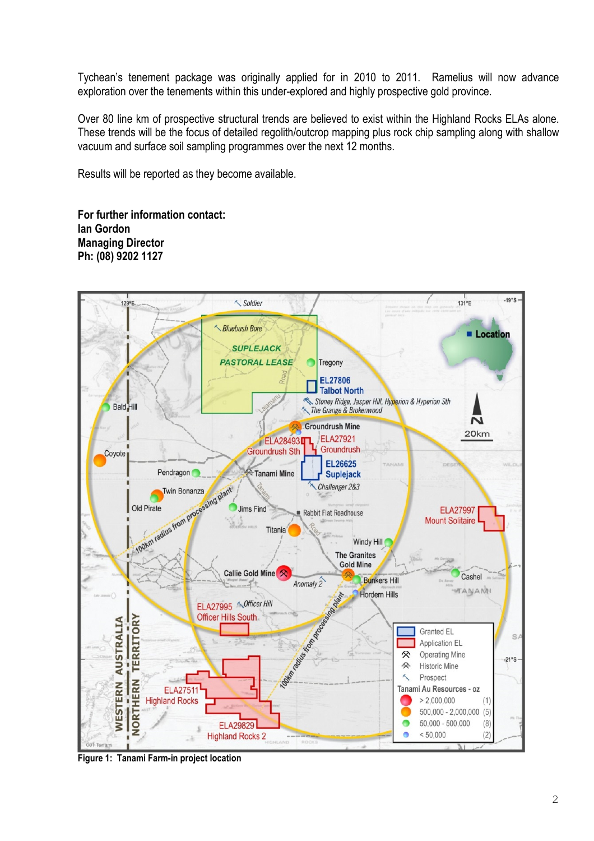Tychean's tenement package was originally applied for in 2010 to 2011. Ramelius will now advance exploration over the tenements within this under-explored and highly prospective gold province.

Over 80 line km of prospective structural trends are believed to exist within the Highland Rocks ELAs alone. These trends will be the focus of detailed regolith/outcrop mapping plus rock chip sampling along with shallow vacuum and surface soil sampling programmes over the next 12 months.

Results will be reported as they become available.

For further information contact: Ian Gordon Managing Director Ph: (08) 9202 1127



Figure 1: Tanami Farm-in project location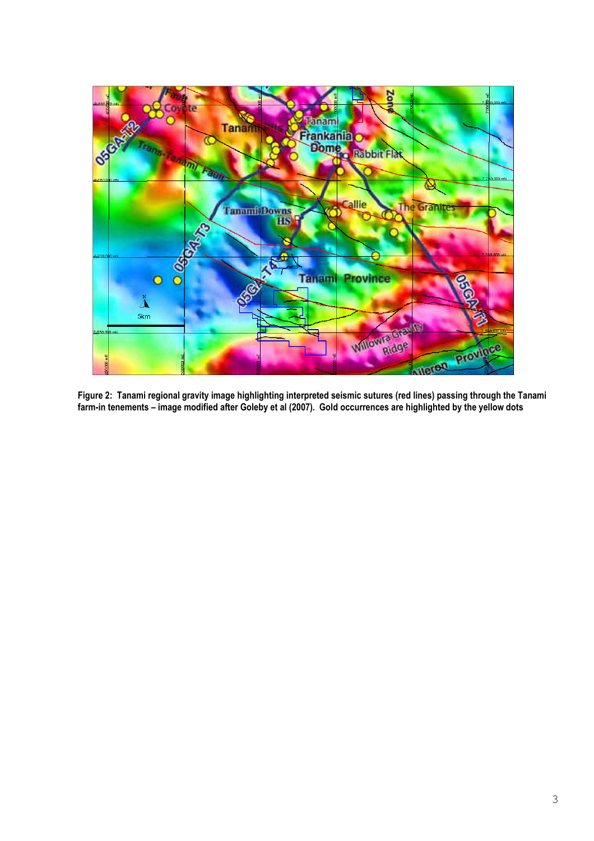

Figure 2: Tanami regional gravity image highlighting interpreted seismic sutures (red lines) passing through the Tanami farm-in tenements – image modified after Goleby et al (2007). Gold occurrences are highlighted by the yellow dots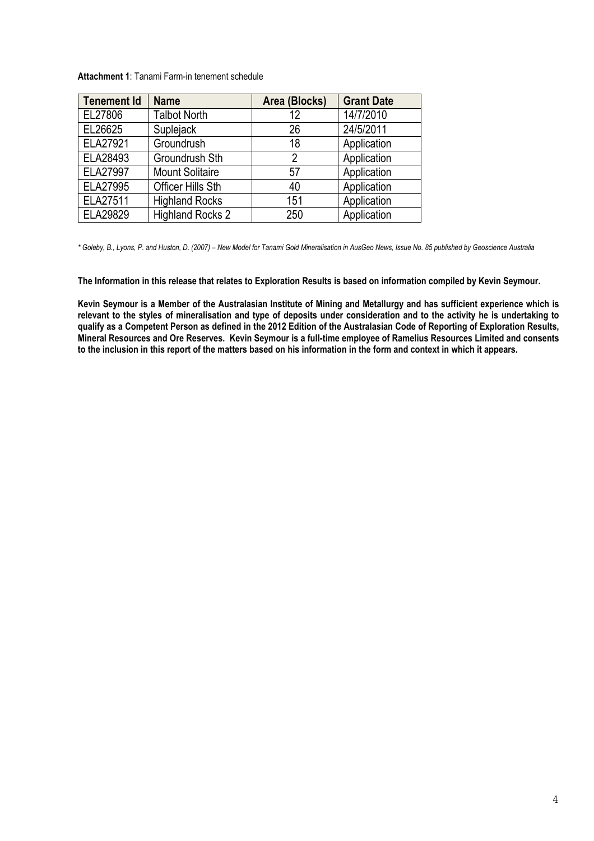| <b>Attachment 1: Tanami Farm-in tenement schedule</b> |  |  |  |
|-------------------------------------------------------|--|--|--|
|-------------------------------------------------------|--|--|--|

| <b>Tenement Id</b> | <b>Name</b>              | Area (Blocks) | <b>Grant Date</b> |
|--------------------|--------------------------|---------------|-------------------|
| EL27806            | <b>Talbot North</b>      | 12            | 14/7/2010         |
| EL26625            | Suplejack                | 26            | 24/5/2011         |
| ELA27921           | Groundrush               | 18            | Application       |
| ELA28493           | Groundrush Sth           | 2             | Application       |
| ELA27997           | <b>Mount Solitaire</b>   | 57            | Application       |
| ELA27995           | <b>Officer Hills Sth</b> | 40            | Application       |
| ELA27511           | <b>Highland Rocks</b>    | 151           | Application       |
| ELA29829           | <b>Highland Rocks 2</b>  | 250           | Application       |

\* Goleby, B., Lyons, P. and Huston, D. (2007) – New Model for Tanami Gold Mineralisation in AusGeo News, Issue No. 85 published by Geoscience Australia

The Information in this release that relates to Exploration Results is based on information compiled by Kevin Seymour.

Kevin Seymour is a Member of the Australasian Institute of Mining and Metallurgy and has sufficient experience which is relevant to the styles of mineralisation and type of deposits under consideration and to the activity he is undertaking to qualify as a Competent Person as defined in the 2012 Edition of the Australasian Code of Reporting of Exploration Results, Mineral Resources and Ore Reserves. Kevin Seymour is a full-time employee of Ramelius Resources Limited and consents to the inclusion in this report of the matters based on his information in the form and context in which it appears.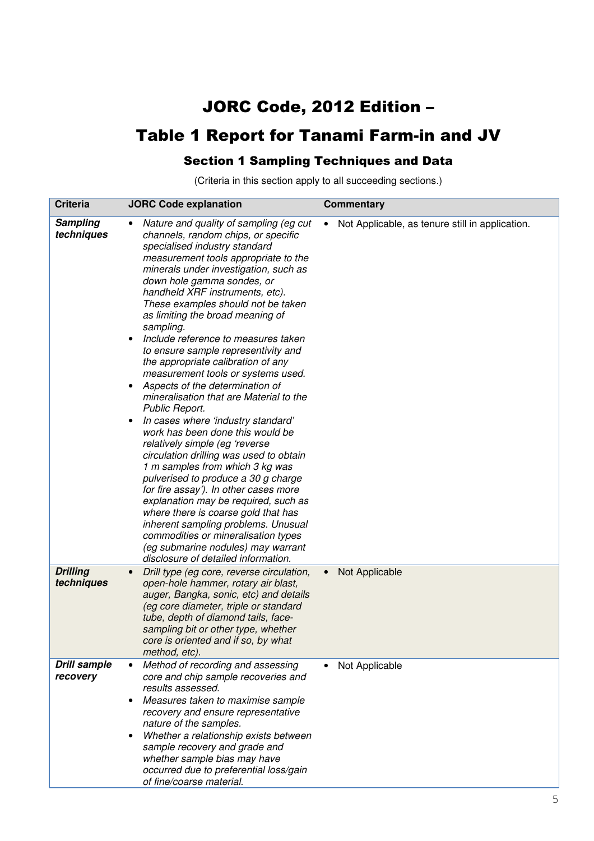# JORC Code, 2012 Edition –

# Table 1 Report for Tanami Farm-in and JV

## Section 1 Sampling Techniques and Data

(Criteria in this section apply to all succeeding sections.)

| <b>Criteria</b>                 | <b>JORC Code explanation</b>                                                                                                                                                                                                                                                                                                                                                                                                                                                                                                                                                                                                                                                                                                                                                                                                                                                                                                                                                                                                                                                                                                                                                 | <b>Commentary</b>                                            |
|---------------------------------|------------------------------------------------------------------------------------------------------------------------------------------------------------------------------------------------------------------------------------------------------------------------------------------------------------------------------------------------------------------------------------------------------------------------------------------------------------------------------------------------------------------------------------------------------------------------------------------------------------------------------------------------------------------------------------------------------------------------------------------------------------------------------------------------------------------------------------------------------------------------------------------------------------------------------------------------------------------------------------------------------------------------------------------------------------------------------------------------------------------------------------------------------------------------------|--------------------------------------------------------------|
| <b>Sampling</b><br>techniques   | Nature and quality of sampling (eg cut<br>$\bullet$<br>channels, random chips, or specific<br>specialised industry standard<br>measurement tools appropriate to the<br>minerals under investigation, such as<br>down hole gamma sondes, or<br>handheld XRF instruments, etc).<br>These examples should not be taken<br>as limiting the broad meaning of<br>sampling.<br>Include reference to measures taken<br>to ensure sample representivity and<br>the appropriate calibration of any<br>measurement tools or systems used.<br>Aspects of the determination of<br>$\bullet$<br>mineralisation that are Material to the<br>Public Report.<br>In cases where 'industry standard'<br>$\bullet$<br>work has been done this would be<br>relatively simple (eg 'reverse<br>circulation drilling was used to obtain<br>1 m samples from which 3 kg was<br>pulverised to produce a 30 g charge<br>for fire assay'). In other cases more<br>explanation may be required, such as<br>where there is coarse gold that has<br>inherent sampling problems. Unusual<br>commodities or mineralisation types<br>(eg submarine nodules) may warrant<br>disclosure of detailed information. | Not Applicable, as tenure still in application.<br>$\bullet$ |
| <b>Drilling</b><br>techniques   | Drill type (eg core, reverse circulation,<br>open-hole hammer, rotary air blast,<br>auger, Bangka, sonic, etc) and details<br>(eg core diameter, triple or standard<br>tube, depth of diamond tails, face-<br>sampling bit or other type, whether<br>core is oriented and if so, by what<br>method, etc).                                                                                                                                                                                                                                                                                                                                                                                                                                                                                                                                                                                                                                                                                                                                                                                                                                                                    | Not Applicable<br>$\bullet$                                  |
| <b>Drill sample</b><br>recovery | Method of recording and assessing<br>$\bullet$<br>core and chip sample recoveries and<br>results assessed.<br>Measures taken to maximise sample<br>$\bullet$<br>recovery and ensure representative<br>nature of the samples.<br>Whether a relationship exists between<br>sample recovery and grade and<br>whether sample bias may have<br>occurred due to preferential loss/gain<br>of fine/coarse material.                                                                                                                                                                                                                                                                                                                                                                                                                                                                                                                                                                                                                                                                                                                                                                 | Not Applicable                                               |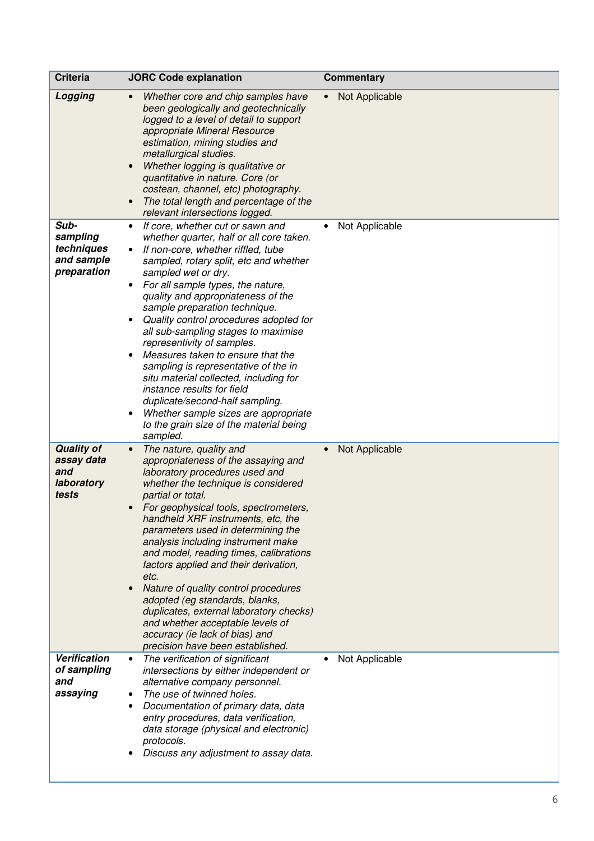| <b>Criteria</b>                                               | <b>JORC Code explanation</b>                                                                                                                                                                                                                                                                                                                                                                                                                                                                                                                                                                                                                                                                                       | <b>Commentary</b>           |
|---------------------------------------------------------------|--------------------------------------------------------------------------------------------------------------------------------------------------------------------------------------------------------------------------------------------------------------------------------------------------------------------------------------------------------------------------------------------------------------------------------------------------------------------------------------------------------------------------------------------------------------------------------------------------------------------------------------------------------------------------------------------------------------------|-----------------------------|
| Logging                                                       | Whether core and chip samples have<br>been geologically and geotechnically<br>logged to a level of detail to support<br>appropriate Mineral Resource<br>estimation, mining studies and<br>metallurgical studies.<br>Whether logging is qualitative or<br>$\bullet$<br>quantitative in nature. Core (or<br>costean, channel, etc) photography.<br>The total length and percentage of the<br>relevant intersections logged.                                                                                                                                                                                                                                                                                          | Not Applicable<br>$\bullet$ |
| Sub-<br>sampling<br>techniques<br>and sample<br>preparation   | If core, whether cut or sawn and<br>whether quarter, half or all core taken.<br>If non-core, whether riffled, tube<br>sampled, rotary split, etc and whether<br>sampled wet or dry.<br>For all sample types, the nature,<br>quality and appropriateness of the<br>sample preparation technique.<br>Quality control procedures adopted for<br>all sub-sampling stages to maximise<br>representivity of samples.<br>Measures taken to ensure that the<br>$\bullet$<br>sampling is representative of the in<br>situ material collected, including for<br>instance results for field<br>duplicate/second-half sampling.<br>Whether sample sizes are appropriate<br>to the grain size of the material being<br>sampled. | Not Applicable              |
| <b>Quality of</b><br>assay data<br>and<br>laboratory<br>tests | The nature, quality and<br>$\bullet$<br>appropriateness of the assaying and<br>laboratory procedures used and<br>whether the technique is considered<br>partial or total.<br>For geophysical tools, spectrometers,<br>handheld XRF instruments, etc, the<br>parameters used in determining the<br>analysis including instrument make<br>and model, reading times, calibrations<br>factors applied and their derivation,<br>etc.<br>Nature of quality control procedures<br>$\bullet$<br>adopted (eg standards, blanks,<br>duplicates, external laboratory checks)<br>and whether acceptable levels of<br>accuracy (ie lack of bias) and<br>precision have been established.                                        | Not Applicable<br>$\bullet$ |
| Verification<br>of sampling<br>and<br>assaying                | The verification of significant<br>$\bullet$<br>intersections by either independent or<br>alternative company personnel.<br>The use of twinned holes.<br>Documentation of primary data, data<br>entry procedures, data verification,<br>data storage (physical and electronic)<br>protocols.<br>Discuss any adjustment to assay data.                                                                                                                                                                                                                                                                                                                                                                              | Not Applicable              |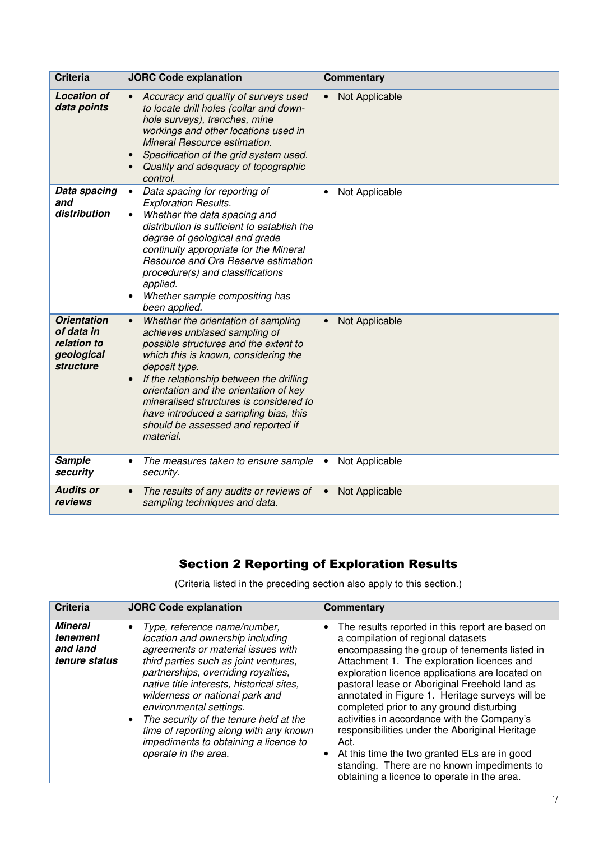| <b>Criteria</b>                                                            | <b>JORC Code explanation</b>                                                                                                                                                                                                                                                                                                                                                                        | <b>Commentary</b>           |
|----------------------------------------------------------------------------|-----------------------------------------------------------------------------------------------------------------------------------------------------------------------------------------------------------------------------------------------------------------------------------------------------------------------------------------------------------------------------------------------------|-----------------------------|
| <b>Location of</b><br>data points                                          | Accuracy and quality of surveys used<br>$\bullet$<br>to locate drill holes (collar and down-<br>hole surveys), trenches, mine<br>workings and other locations used in<br>Mineral Resource estimation.<br>Specification of the grid system used.<br>Quality and adequacy of topographic<br>control.                                                                                                  | Not Applicable<br>$\bullet$ |
| Data spacing<br>and<br>distribution                                        | Data spacing for reporting of<br>$\bullet$<br><b>Exploration Results.</b><br>Whether the data spacing and<br>distribution is sufficient to establish the<br>degree of geological and grade<br>continuity appropriate for the Mineral<br>Resource and Ore Reserve estimation<br>procedure(s) and classifications<br>applied.<br>Whether sample compositing has<br>been applied.                      | Not Applicable<br>$\bullet$ |
| <b>Orientation</b><br>of data in<br>relation to<br>geological<br>structure | Whether the orientation of sampling<br>achieves unbiased sampling of<br>possible structures and the extent to<br>which this is known, considering the<br>deposit type.<br>If the relationship between the drilling<br>orientation and the orientation of key<br>mineralised structures is considered to<br>have introduced a sampling bias, this<br>should be assessed and reported if<br>material. | Not Applicable              |
| <b>Sample</b><br>security                                                  | The measures taken to ensure sample<br>$\bullet$<br>security.                                                                                                                                                                                                                                                                                                                                       | Not Applicable              |
| <b>Audits or</b><br>reviews                                                | The results of any audits or reviews of<br>sampling techniques and data.                                                                                                                                                                                                                                                                                                                            | Not Applicable<br>$\bullet$ |

# Section 2 Reporting of Exploration Results

(Criteria listed in the preceding section also apply to this section.)

| <b>Criteria</b>                                         | <b>JORC Code explanation</b>                                                                                                                                                                                                                                                                                                                                                                                                                           | Commentary                                                                                                                                                                                                                                                                                                                                                                                                                                                                                                                                                                                                                                      |
|---------------------------------------------------------|--------------------------------------------------------------------------------------------------------------------------------------------------------------------------------------------------------------------------------------------------------------------------------------------------------------------------------------------------------------------------------------------------------------------------------------------------------|-------------------------------------------------------------------------------------------------------------------------------------------------------------------------------------------------------------------------------------------------------------------------------------------------------------------------------------------------------------------------------------------------------------------------------------------------------------------------------------------------------------------------------------------------------------------------------------------------------------------------------------------------|
| <b>Mineral</b><br>tenement<br>and land<br>tenure status | Type, reference name/number,<br>location and ownership including<br>agreements or material issues with<br>third parties such as joint ventures,<br>partnerships, overriding royalties,<br>native title interests, historical sites,<br>wilderness or national park and<br>environmental settings.<br>The security of the tenure held at the<br>time of reporting along with any known<br>impediments to obtaining a licence to<br>operate in the area. | The results reported in this report are based on<br>a compilation of regional datasets<br>encompassing the group of tenements listed in<br>Attachment 1. The exploration licences and<br>exploration licence applications are located on<br>pastoral lease or Aboriginal Freehold land as<br>annotated in Figure 1. Heritage surveys will be<br>completed prior to any ground disturbing<br>activities in accordance with the Company's<br>responsibilities under the Aboriginal Heritage<br>Act.<br>At this time the two granted ELs are in good<br>standing. There are no known impediments to<br>obtaining a licence to operate in the area. |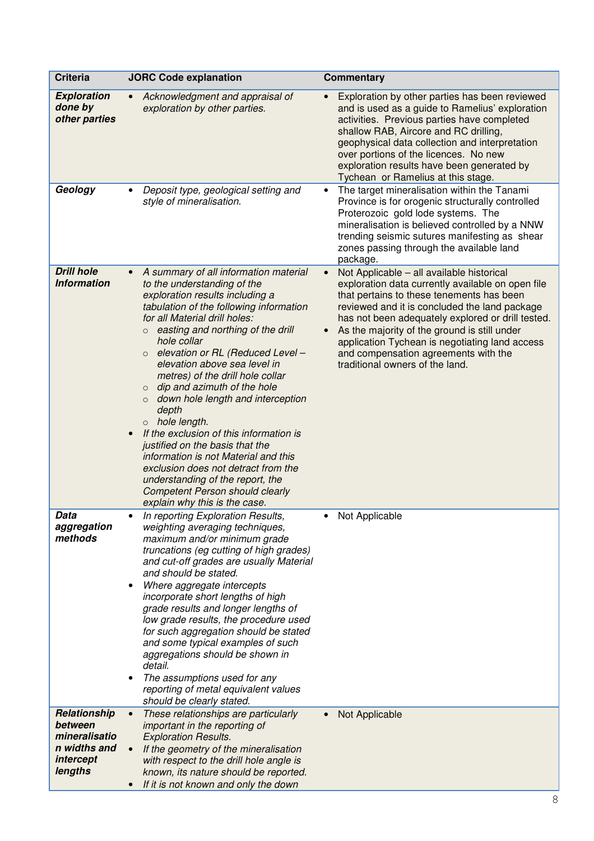| <b>Criteria</b>                                                                  | <b>JORC Code explanation</b>                                                                                                                                                                                                                                                                                                                                                                                                                                                                                                                                                                                                                                                                                                                                                                     | <b>Commentary</b>                                                                                                                                                                                                                                                                                                                                                                                                                                        |
|----------------------------------------------------------------------------------|--------------------------------------------------------------------------------------------------------------------------------------------------------------------------------------------------------------------------------------------------------------------------------------------------------------------------------------------------------------------------------------------------------------------------------------------------------------------------------------------------------------------------------------------------------------------------------------------------------------------------------------------------------------------------------------------------------------------------------------------------------------------------------------------------|----------------------------------------------------------------------------------------------------------------------------------------------------------------------------------------------------------------------------------------------------------------------------------------------------------------------------------------------------------------------------------------------------------------------------------------------------------|
| <b>Exploration</b><br>done by<br>other parties                                   | Acknowledgment and appraisal of<br>exploration by other parties.                                                                                                                                                                                                                                                                                                                                                                                                                                                                                                                                                                                                                                                                                                                                 | Exploration by other parties has been reviewed<br>and is used as a guide to Ramelius' exploration<br>activities. Previous parties have completed<br>shallow RAB, Aircore and RC drilling,<br>geophysical data collection and interpretation<br>over portions of the licences. No new<br>exploration results have been generated by<br>Tychean or Ramelius at this stage.                                                                                 |
| Geology                                                                          | Deposit type, geological setting and<br>style of mineralisation.                                                                                                                                                                                                                                                                                                                                                                                                                                                                                                                                                                                                                                                                                                                                 | The target mineralisation within the Tanami<br>Province is for orogenic structurally controlled<br>Proterozoic gold lode systems. The<br>mineralisation is believed controlled by a NNW<br>trending seismic sutures manifesting as shear<br>zones passing through the available land<br>package.                                                                                                                                                         |
| <b>Drill hole</b><br><b>Information</b>                                          | A summary of all information material<br>$\bullet$<br>to the understanding of the<br>exploration results including a<br>tabulation of the following information<br>for all Material drill holes:<br>easting and northing of the drill<br>$\circ$<br>hole collar<br>elevation or RL (Reduced Level -<br>$\circ$<br>elevation above sea level in<br>metres) of the drill hole collar<br>dip and azimuth of the hole<br>$\circ$<br>down hole length and interception<br>$\circ$<br>depth<br>o hole length.<br>If the exclusion of this information is<br>$\bullet$<br>justified on the basis that the<br>information is not Material and this<br>exclusion does not detract from the<br>understanding of the report, the<br><b>Competent Person should clearly</b><br>explain why this is the case. | Not Applicable - all available historical<br>$\bullet$<br>exploration data currently available on open file<br>that pertains to these tenements has been<br>reviewed and it is concluded the land package<br>has not been adequately explored or drill tested.<br>As the majority of the ground is still under<br>$\bullet$<br>application Tychean is negotiating land access<br>and compensation agreements with the<br>traditional owners of the land. |
| Data<br>aggregation<br>methods                                                   | In reporting Exploration Results,<br>weighting averaging techniques,<br>maximum and/or minimum grade<br>truncations (eg cutting of high grades)<br>and cut-off grades are usually Material<br>and should be stated.<br>Where aggregate intercepts<br>incorporate short lengths of high<br>grade results and longer lengths of<br>low grade results, the procedure used<br>for such aggregation should be stated<br>and some typical examples of such<br>aggregations should be shown in<br>detail.<br>The assumptions used for any<br>$\bullet$<br>reporting of metal equivalent values<br>should be clearly stated.                                                                                                                                                                             | Not Applicable<br>٠                                                                                                                                                                                                                                                                                                                                                                                                                                      |
| Relationship<br>between<br>mineralisatio<br>n widths and<br>intercept<br>lengths | These relationships are particularly<br>$\bullet$<br>important in the reporting of<br><b>Exploration Results.</b><br>If the geometry of the mineralisation<br>with respect to the drill hole angle is<br>known, its nature should be reported.<br>If it is not known and only the down                                                                                                                                                                                                                                                                                                                                                                                                                                                                                                           | Not Applicable                                                                                                                                                                                                                                                                                                                                                                                                                                           |